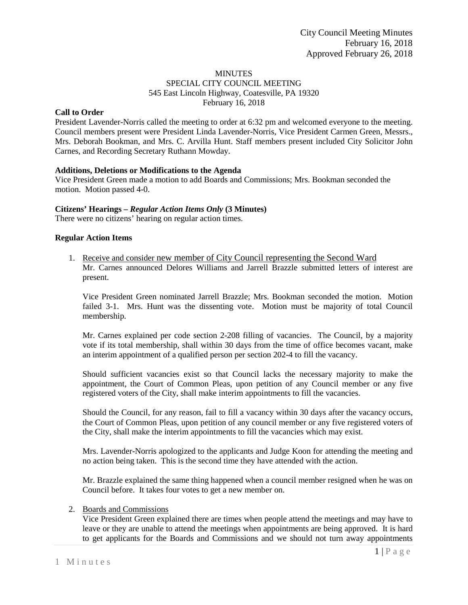### MINUTES SPECIAL CITY COUNCIL MEETING 545 East Lincoln Highway, Coatesville, PA 19320 February 16, 2018

### **Call to Order**

President Lavender-Norris called the meeting to order at 6:32 pm and welcomed everyone to the meeting. Council members present were President Linda Lavender-Norris, Vice President Carmen Green, Messrs., Mrs. Deborah Bookman, and Mrs. C. Arvilla Hunt. Staff members present included City Solicitor John Carnes, and Recording Secretary Ruthann Mowday.

# **Additions, Deletions or Modifications to the Agenda**

Vice President Green made a motion to add Boards and Commissions; Mrs. Bookman seconded the motion. Motion passed 4-0.

### **Citizens' Hearings –** *Regular Action Items Only* **(3 Minutes)**

There were no citizens' hearing on regular action times.

# **Regular Action Items**

1. Receive and consider new member of City Council representing the Second Ward Mr. Carnes announced Delores Williams and Jarrell Brazzle submitted letters of interest are present.

Vice President Green nominated Jarrell Brazzle; Mrs. Bookman seconded the motion. Motion failed 3-1. Mrs. Hunt was the dissenting vote. Motion must be majority of total Council membership.

Mr. Carnes explained per code section 2-208 filling of vacancies. The Council, by a majority vote if its total membership, shall within 30 days from the time of office becomes vacant, make an interim appointment of a qualified person per section 202-4 to fill the vacancy.

Should sufficient vacancies exist so that Council lacks the necessary majority to make the appointment, the Court of Common Pleas, upon petition of any Council member or any five registered voters of the City, shall make interim appointments to fill the vacancies.

Should the Council, for any reason, fail to fill a vacancy within 30 days after the vacancy occurs, the Court of Common Pleas, upon petition of any council member or any five registered voters of the City, shall make the interim appointments to fill the vacancies which may exist.

Mrs. Lavender-Norris apologized to the applicants and Judge Koon for attending the meeting and no action being taken. This is the second time they have attended with the action.

Mr. Brazzle explained the same thing happened when a council member resigned when he was on Council before. It takes four votes to get a new member on.

### 2. Boards and Commissions

Vice President Green explained there are times when people attend the meetings and may have to leave or they are unable to attend the meetings when appointments are being approved. It is hard to get applicants for the Boards and Commissions and we should not turn away appointments